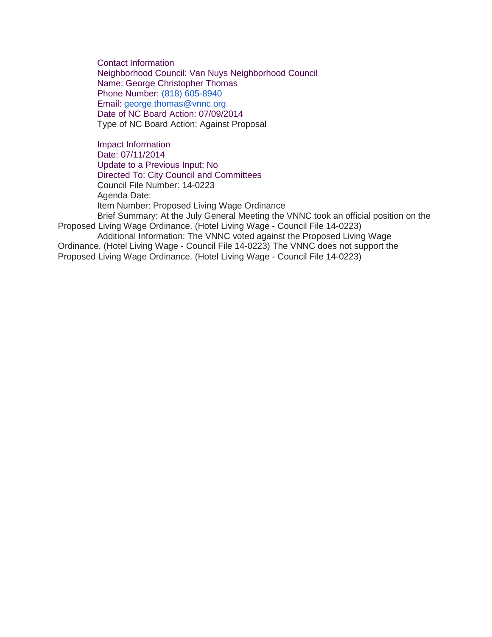Contact Information Neighborhood Council: Van Nuys Neighborhood Council Name: George Christopher Thomas Phone Number: [\(818\) 605-8940](tel:%28818%29%20605-8940) Email: [george.thomas@vnnc.org](mailto:george.thomas@vnnc.org) Date of NC Board Action: 07/09/2014 Type of NC Board Action: Against Proposal

Impact Information Date: 07/11/2014 Update to a Previous Input: No Directed To: City Council and Committees Council File Number: 14-0223 Agenda Date: Item Number: Proposed Living Wage Ordinance Brief Summary: At the July General Meeting the VNNC took an official position on the Proposed Living Wage Ordinance. (Hotel Living Wage - Council File 14-0223)

Additional Information: The VNNC voted against the Proposed Living Wage Ordinance. (Hotel Living Wage - Council File 14-0223) The VNNC does not support the Proposed Living Wage Ordinance. (Hotel Living Wage - Council File 14-0223)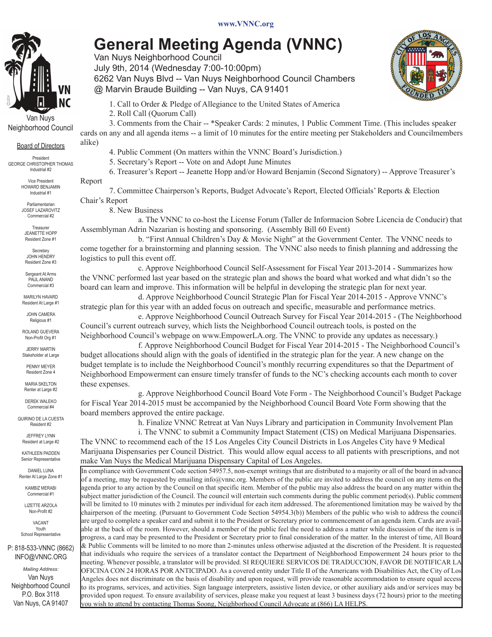## **General Meeting Agenda (VNNC)**

Van Nuys Neighborhood Council July 9th, 2014 (Wednesday 7:00-10:00pm) 6262 Van Nuys Blvd -- Van Nuys Neighborhood Council Chambers

@ Marvin Braude Building -- Van Nuys, CA 91401

 1. Call to Order & Pledge of Allegiance to the United States of America

 2. Roll Call (Quorum Call)

 3. Comments from the Chair -- \*Speaker Cards: 2 minutes, 1 Public Comment Time. (This includes speaker cards on any and all agenda items -- a limit of 10 minutes for the entire meeting per Stakeholders and Councilmembers alike)

 4. Public Comment (On matters within the VNNC Board's Jurisdiction.)

 5. Secretary's Report -- Vote on and Adopt June Minutes

 6. Treasurer's Report -- Jeanette Hopp and/or Howard Benjamin (Second Signatory) -- Approve Treasurer's Report 

 7. Committee Chairperson's Reports, Budget Advocate's Report, Elected Officials' Reports & Election Chair's Report

 8. New Business

 a. The VNNC to co-host the License Forum (Taller de Informacion Sobre Licencia de Conducir) that Assemblyman Adrin Nazarian is hosting and sponsoring. (Assembly Bill 60 Event)

 b. "First Annual Children's Day & Movie Night" at the Government Center. The VNNC needs to come together for a brainstorming and planning session. The VNNC also needs to finish planning and addressing the logistics to pull this event off.

 c. Approve Neighborhood Council Self-Assessment for Fiscal Year 2013-2014 - Summarizes how the VNNC performed last year based on the strategic plan and shows the board what worked and what didn't so the board can learn and improve. This information will be helpful in developing the strategic plan for next year.

 d. Approve Neighborhood Council Strategic Plan for Fiscal Year 2014-2015 - Approve VNNC's strategic plan for this year with an added focus on outreach and specific, measurable and performance metrics.

 e. Approve Neighborhood Council Outreach Survey for Fiscal Year 2014-2015 - (The Neighborhood Council's current outreach survey, which lists the Neighborhood Council outreach tools, is posted on the Neighborhood Council's webpage on www.EmpowerLA.org. The VNNC to provide any updates as necessary.)

 f. Approve Neighborhood Council Budget for Fiscal Year 2014-2015 - The Neighborhood Council's budget allocations should align with the goals of identified in the strategic plan for the year. A new change on the budget template is to include the Neighborhood Council's monthly recurring expenditures so that the Department of Neighborhood Empowerment can ensure timely transfer of funds to the NC's checking accounts each month to cover these expenses.

 g. Approve Neighborhood Council Board Vote Form - The Neighborhood Council's Budget Package for Fiscal Year 2014-2015 must be accompanied by the Neighborhood Council Board Vote Form showing that the board members approved the entire package.

 h. Finalize VNNC Retreat at Van Nuys Library and participation in Community Involvement Plan i. The VNNC to submit a Community Impact Statement (CIS) on Medical Marijuana Dispensaries.

The VNNC to recommend each of the 15 Los Angeles City Council Districts in Los Angeles City have 9 Medical Marijuana Dispensaries per Council District. This would allow equal access to all patients with prescriptions, and not make Van Nuys the Medical Marijuana Dispensary Capital of Los Angeles.

In compliance with Government Code section 54957.5, non-exempt writings that are distributed to a majority or all of the board in advance of a meeting, may be requested by emailing info@vnnc.org. Members of the public are invited to address the council on any items on the agenda prior to any action by the Council on that specific item. Member of the public may also address the board on any matter within the subject matter jurisdiction of the Council. The council will entertain such comments during the public comment period(s). Public comment will be limited to 10 minutes with 2 minutes per individual for each item addressed. The aforementioned limitation may be waived by the chairperson of the meeting. (Pursuant to Government Code Section 54954.3(b)) Members of the public who wish to address the council are urged to complete a speaker card and submit it to the President or Secretary prior to commencement of an agenda item. Cards are available at the back of the room. However, should a member of the public feel the need to address a matter while discussion of the item is in progress, a card may be presented to the President or Secretary prior to final consideration of the matter. In the interest of time, All Board & Public Comments will be limited to no more than 2-minutes unless otherwise adjusted at the discretion of the President. It is requested that individuals who require the services of a translator contact the Department of Neighborhood Empowerment 24 hours prior to the meeting. Whenever possible, a translator will be provided. SI REQUIERE SERVICOS DE TRADUCCION, FAVOR DE NOTIFICAR LA OFICINA CON 24 HORAS POR ANTICIPADO. As a covered entity under Title II of the Americans with Disabilities Act, the City of Los Angeles does not discriminate on the basis of disability and upon request, will provide reasonable accommodation to ensure equal access to its programs, services, and activities. Sign language interpreters, assistive listen device, or other auxiliary aids and/or services may be provided upon request. To ensure availability of services, please make you request at least 3 business days (72 hours) prior to the meeting you wish to attend by contacting Thomas Soong, Neighborhood Council Advocate at (866) LA HELPS.



Neighborhood Council

Board of Directors

President George Christopher Thomas Industrial #2

> Vice President Howard Benjamin Industrial #1

Parliamentarian Josef lazarovitz Commercial #2

Treasurer jeanette hopp Resident Zone #1

Secretary JOHN HENDRY Resident Zone #3

Sergeant At Arms PAUL ANAND Commercial #3

Marilyn havard Resident At Large #1

john camera Religious #1

ROLAND GUEVERa Non-Profit Org #1

JERRY MARTIN Stakeholder at Large

PENNY MEYER Resident Zone 4 MARIA SKELTON

Renter at Large #2 Derek Waleko

Commercial #4 Quirino De La Cuesta

Resident #2 JEFFREY LYNN

Resident at Large #2

KATHLEEN PADDEN Senior Representative

DANIEL LUNA Renter At Large Zone #1

> KAMBIZ MERABI Commercial #1

LIZETTE ARZOLA Non-Profit #2

**VACANT** Youth School Representative

P: 818-533-VNNC (8662) INFO@VNNC.ORG

*Mailing Address:* Van Nuys Neighborhood Council P.O. Box 3118 Van Nuys, CA 91407

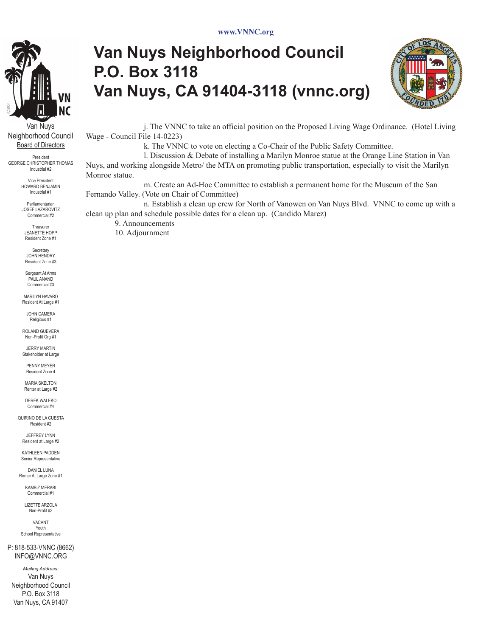

Van Nuys Neighborhood Council Board of Directors

President George Christopher Thomas Industrial #2

Vice President Howard Benjamin Industrial #1

Parliamentarian Josef lazarovitz Commercial #2

Treasure jeanette hopp Resident Zone #1

Secretary jOHN HENDRY Resident Zone #3

Sergeant At Arms PAUL ANAND Commercial #3

Marilyn havard Resident At Large #1

john camera Religious #1

ROLAND GUEVERa Non-Profit Org #1

JERRY MARTIN Stakeholder at Large

PENNY MEYER Resident Zone 4

MARIA SKELTON Renter at Large #2

DEREK WAI EKO Commercial #4

Quirino De La Cuesta Resident #2

JEFFREY LYNN Resident at Large #2

KATHLEEN PADDEN nior Representative

DANIEL LUNA Renter At Large Zone #1

KAMBIZ MERABI Commercial #1

LIZETTE ARZOLA Non-Profit #2

**VACANT** Youth School Representative

P: 818-533-VNNC (8662) INFO@VNNC.ORG

*Mailing Address:* Van Nuys Neighborhood Council P.O. Box 3118 Van Nuys, CA 91407

## **Van Nuys Neighborhood Council P.O. Box 3118 Van Nuys, CA 91404-3118 (vnnc.org)**



 j. The VNNC to take an official position on the Proposed Living Wage Ordinance. (Hotel Living Wage - Council File 14-0223)

 k. The VNNC to vote on electing a Co-Chair of the Public Safety Committee.

 l. Discussion & Debate of installing a Marilyn Monroe statue at the Orange Line Station in Van Nuys, and working alongside Metro/ the MTA on promoting public transportation, especially to visit the Marilyn Monroe statue.

 m. Create an Ad-Hoc Committee to establish a permanent home for the Museum of the San Fernando Valley. (Vote on Chair of Committee)

 n. Establish a clean up crew for North of Vanowen on Van Nuys Blvd. VNNC to come up with a clean up plan and schedule possible dates for a clean up. (Candido Marez)

 9. Announcements 10. Adjournment